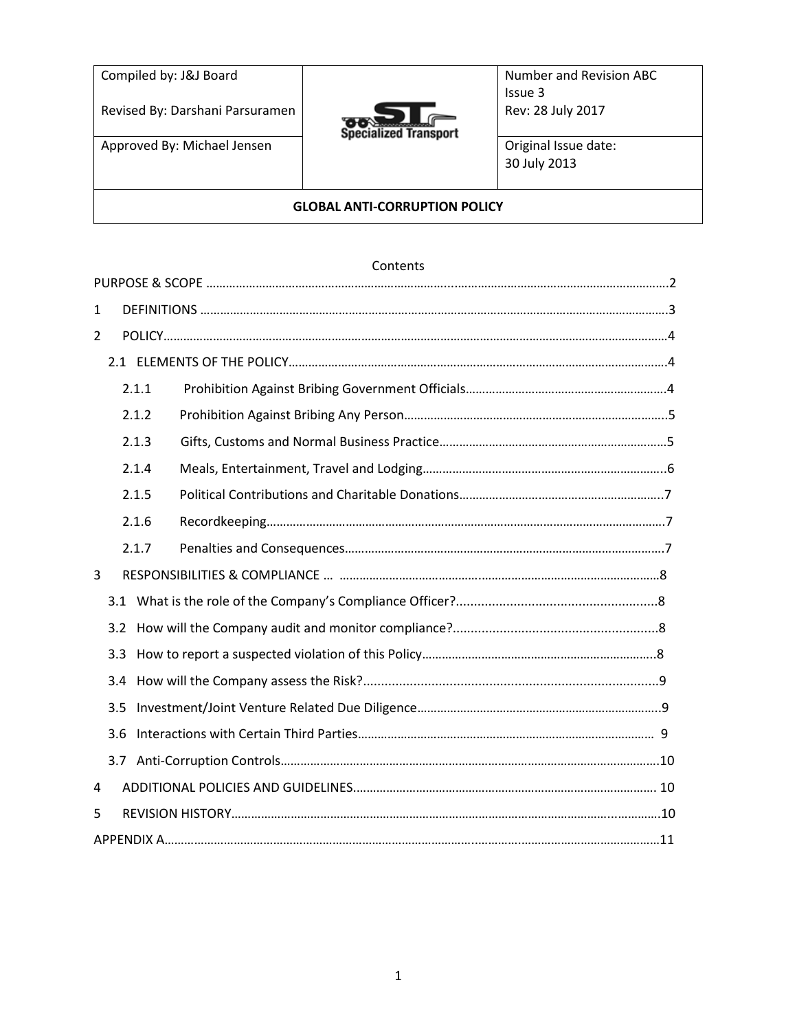| Compiled by: J&J Board<br>Revised By: Darshani Parsuramen | <b>Specialized Transport</b> | Number and Revision ABC<br>Issue 3<br>Rev: 28 July 2017 |  |
|-----------------------------------------------------------|------------------------------|---------------------------------------------------------|--|
| Approved By: Michael Jensen                               |                              | Original Issue date:<br>30 July 2013                    |  |
| <b>GLOBAL ANTI-CORRUPTION POLICY</b>                      |                              |                                                         |  |

## Contents

| 1              |     |       |  |
|----------------|-----|-------|--|
| $\overline{2}$ |     |       |  |
|                |     |       |  |
|                |     | 2.1.1 |  |
|                |     | 2.1.2 |  |
|                |     | 2.1.3 |  |
|                |     | 2.1.4 |  |
|                |     | 2.1.5 |  |
|                |     | 2.1.6 |  |
|                |     | 2.1.7 |  |
| 3              |     |       |  |
|                |     |       |  |
|                | 3.2 |       |  |
|                | 3.3 |       |  |
|                | 3.4 |       |  |
|                | 3.5 |       |  |
|                | 3.6 |       |  |
|                | 3.7 |       |  |
| 4              |     |       |  |
| 5              |     |       |  |
|                |     |       |  |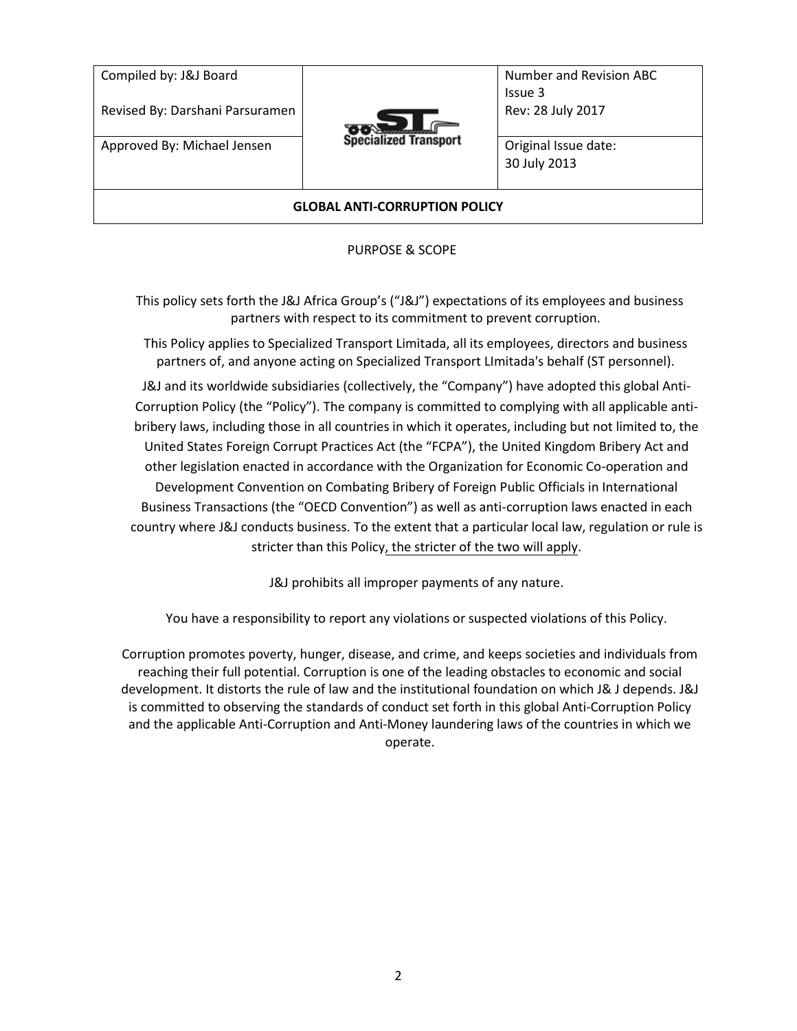| Compiled by: J&J Board<br>Revised By: Darshani Parsuramen | <b>Specialized Transport</b> | Number and Revision ABC<br>Issue 3<br>Rev: 28 July 2017 |  |
|-----------------------------------------------------------|------------------------------|---------------------------------------------------------|--|
| Approved By: Michael Jensen                               |                              | Original Issue date:<br>30 July 2013                    |  |
| <b>GLOBAL ANTI-CORRUPTION POLICY</b>                      |                              |                                                         |  |

PURPOSE & SCOPE

<span id="page-1-0"></span>This policy sets forth the J&J Africa Group's ("J&J") expectations of its employees and business partners with respect to its commitment to prevent corruption.

This Policy applies to Specialized Transport Limitada, all its employees, directors and business partners of, and anyone acting on Specialized Transport LImitada's behalf (ST personnel).

J&J and its worldwide subsidiaries (collectively, the "Company") have adopted this global Anti-Corruption Policy (the "Policy"). The company is committed to complying with all applicable antibribery laws, including those in all countries in which it operates, including but not limited to, the United States Foreign Corrupt Practices Act (the "FCPA"), the United Kingdom Bribery Act and other legislation enacted in accordance with the Organization for Economic Co-operation and Development Convention on Combating Bribery of Foreign Public Officials in International Business Transactions (the "OECD Convention") as well as anti-corruption laws enacted in each country where J&J conducts business. To the extent that a particular local law, regulation or rule is stricter than this Policy, the stricter of the two will apply.

J&J prohibits all improper payments of any nature.

You have a responsibility to report any violations or suspected violations of this Policy.

Corruption promotes poverty, hunger, disease, and crime, and keeps societies and individuals from reaching their full potential. Corruption is one of the leading obstacles to economic and social development. It distorts the rule of law and the institutional foundation on which J& J depends. J&J is committed to observing the standards of conduct set forth in this global Anti-Corruption Policy and the applicable Anti-Corruption and Anti-Money laundering laws of the countries in which we operate.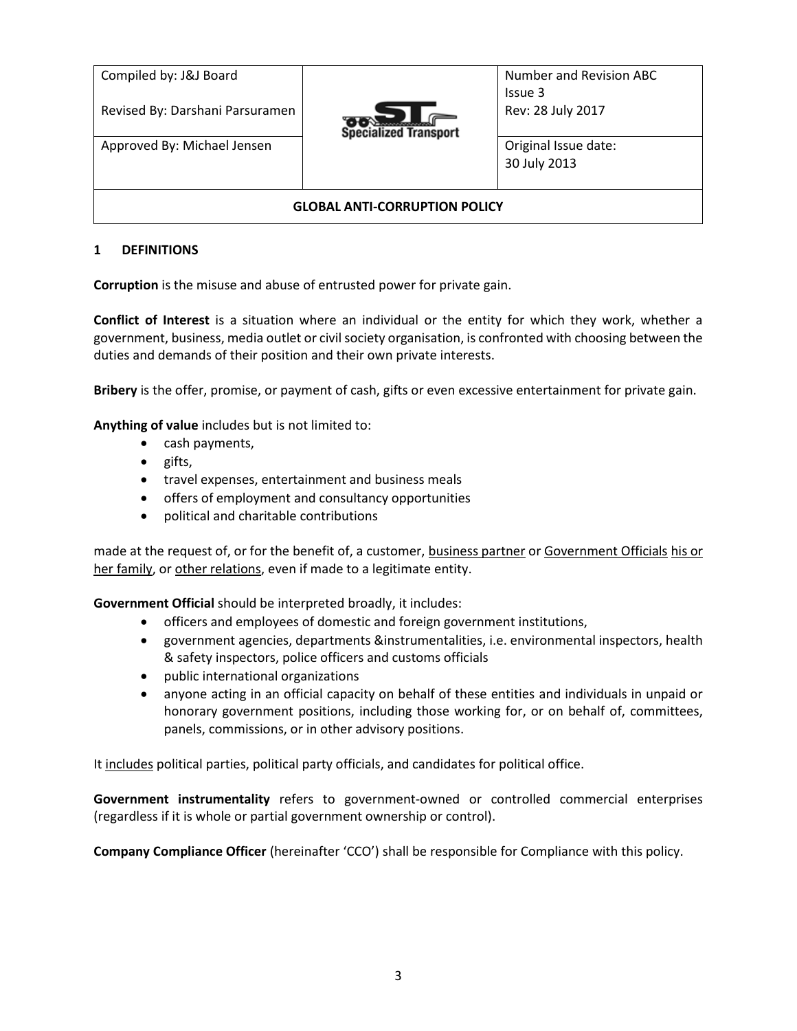| Compiled by: J&J Board<br>Revised By: Darshani Parsuramen | <b>Specialized Transport</b> | Number and Revision ABC<br>Issue 3<br>Rev: 28 July 2017 |  |
|-----------------------------------------------------------|------------------------------|---------------------------------------------------------|--|
| Approved By: Michael Jensen                               |                              | Original Issue date:<br>30 July 2013                    |  |
| <b>GLOBAL ANTI-CORRUPTION POLICY</b>                      |                              |                                                         |  |

### <span id="page-2-0"></span>**1 DEFINITIONS**

**Corruption** is the misuse and abuse of entrusted power for private gain.

**Conflict of Interest** is a situation where an individual or the entity for which they work, whether a government, business, media outlet or civil society organisation, is confronted with choosing between the duties and demands of their position and their own private interests.

**Bribery** is the offer, promise, or payment of cash, gifts or even excessive entertainment for private gain.

**Anything of value** includes but is not limited to:

- cash payments,
- gifts,
- travel expenses, entertainment and business meals
- offers of employment and consultancy opportunities
- political and charitable contributions

made at the request of, or for the benefit of, a customer, business partner or Government Officials his or her family, or other relations, even if made to a legitimate entity.

**Government Official** should be interpreted broadly, it includes:

- officers and employees of domestic and foreign government institutions,
- government agencies, departments &instrumentalities, i.e. environmental inspectors, health & safety inspectors, police officers and customs officials
- public international organizations
- anyone acting in an official capacity on behalf of these entities and individuals in unpaid or honorary government positions, including those working for, or on behalf of, committees, panels, commissions, or in other advisory positions.

It includes political parties, political party officials, and candidates for political office.

**Government instrumentality** refers to government-owned or controlled commercial enterprises (regardless if it is whole or partial government ownership or control).

**Company Compliance Officer** (hereinafter 'CCO') shall be responsible for Compliance with this policy.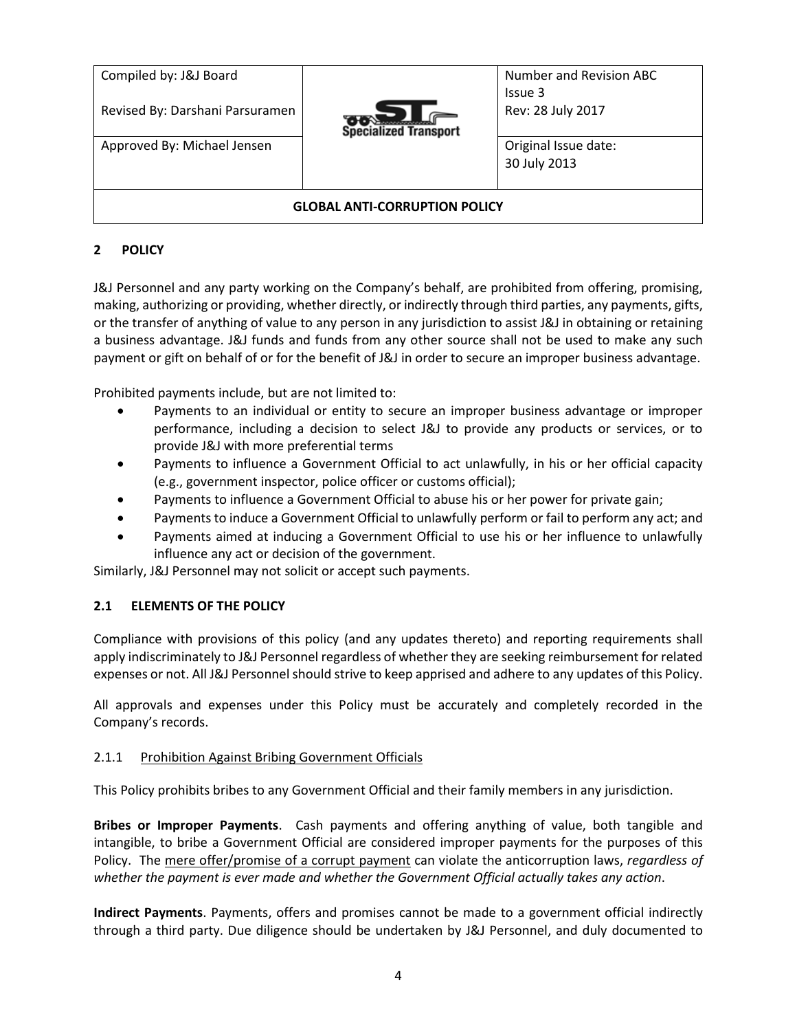| Compiled by: J&J Board<br>Revised By: Darshani Parsuramen | <b>Specialized Transport</b> | Number and Revision ABC<br>Issue 3<br>Rev: 28 July 2017 |  |
|-----------------------------------------------------------|------------------------------|---------------------------------------------------------|--|
| Approved By: Michael Jensen                               |                              | Original Issue date:<br>30 July 2013                    |  |
| <b>GLOBAL ANTI-CORRUPTION POLICY</b>                      |                              |                                                         |  |

# <span id="page-3-0"></span>**2 POLICY**

J&J Personnel and any party working on the Company's behalf, are prohibited from offering, promising, making, authorizing or providing, whether directly, or indirectly through third parties, any payments, gifts, or the transfer of anything of value to any person in any jurisdiction to assist J&J in obtaining or retaining a business advantage. J&J funds and funds from any other source shall not be used to make any such payment or gift on behalf of or for the benefit of J&J in order to secure an improper business advantage.

Prohibited payments include, but are not limited to:

- Payments to an individual or entity to secure an improper business advantage or improper performance, including a decision to select J&J to provide any products or services, or to provide J&J with more preferential terms
- Payments to influence a Government Official to act unlawfully, in his or her official capacity (e.g., government inspector, police officer or customs official);
- Payments to influence a Government Official to abuse his or her power for private gain;
- Payments to induce a Government Official to unlawfully perform or fail to perform any act; and
- Payments aimed at inducing a Government Official to use his or her influence to unlawfully influence any act or decision of the government.

Similarly, J&J Personnel may not solicit or accept such payments.

### <span id="page-3-1"></span>**2.1 ELEMENTS OF THE POLICY**

Compliance with provisions of this policy (and any updates thereto) and reporting requirements shall apply indiscriminately to J&J Personnel regardless of whether they are seeking reimbursement for related expenses or not. All J&J Personnel should strive to keep apprised and adhere to any updates of this Policy.

All approvals and expenses under this Policy must be accurately and completely recorded in the Company's records.

### <span id="page-3-2"></span>2.1.1 Prohibition Against Bribing Government Officials

This Policy prohibits bribes to any Government Official and their family members in any jurisdiction.

**Bribes or Improper Payments**. Cash payments and offering anything of value, both tangible and intangible, to bribe a Government Official are considered improper payments for the purposes of this Policy. The mere offer/promise of a corrupt payment can violate the anticorruption laws, *regardless of whether the payment is ever made and whether the Government Official actually takes any action*.

**Indirect Payments**. Payments, offers and promises cannot be made to a government official indirectly through a third party. Due diligence should be undertaken by J&J Personnel, and duly documented to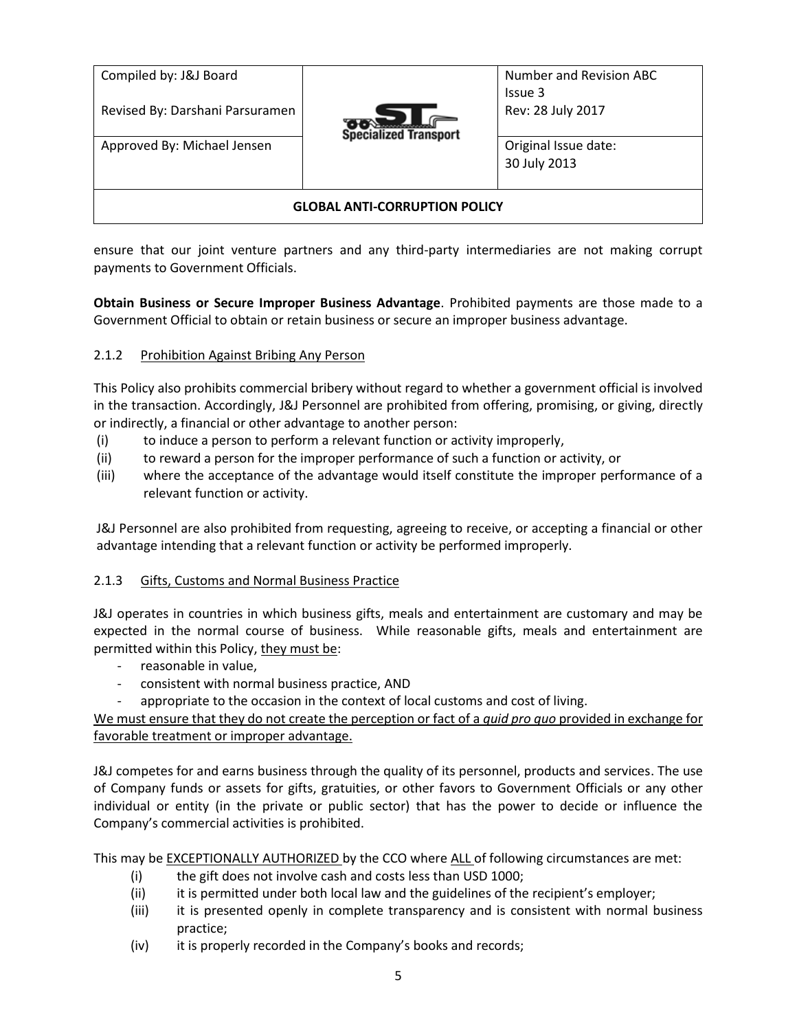| Compiled by: J&J Board<br>Revised By: Darshani Parsuramen | <b>Specialized Transport</b> | Number and Revision ABC<br>Issue 3<br>Rev: 28 July 2017 |  |
|-----------------------------------------------------------|------------------------------|---------------------------------------------------------|--|
| Approved By: Michael Jensen                               |                              | Original Issue date:<br>30 July 2013                    |  |
| <b>GLOBAL ANTI-CORRUPTION POLICY</b>                      |                              |                                                         |  |

ensure that our joint venture partners and any third-party intermediaries are not making corrupt payments to Government Officials.

**Obtain Business or Secure Improper Business Advantage**. Prohibited payments are those made to a Government Official to obtain or retain business or secure an improper business advantage.

### <span id="page-4-0"></span>2.1.2 Prohibition Against Bribing Any Person

This Policy also prohibits commercial bribery without regard to whether a government official is involved in the transaction. Accordingly, J&J Personnel are prohibited from offering, promising, or giving, directly or indirectly, a financial or other advantage to another person:

- (i) to induce a person to perform a relevant function or activity improperly,
- (ii) to reward a person for the improper performance of such a function or activity, or
- (iii) where the acceptance of the advantage would itself constitute the improper performance of a relevant function or activity.

J&J Personnel are also prohibited from requesting, agreeing to receive, or accepting a financial or other advantage intending that a relevant function or activity be performed improperly.

### <span id="page-4-1"></span>2.1.3 Gifts, Customs and Normal Business Practice

J&J operates in countries in which business gifts, meals and entertainment are customary and may be expected in the normal course of business. While reasonable gifts, meals and entertainment are permitted within this Policy, they must be:

- reasonable in value,
- consistent with normal business practice, AND
- appropriate to the occasion in the context of local customs and cost of living.

We must ensure that they do not create the perception or fact of a *quid pro quo* provided in exchange for favorable treatment or improper advantage.

J&J competes for and earns business through the quality of its personnel, products and services. The use of Company funds or assets for gifts, gratuities, or other favors to Government Officials or any other individual or entity (in the private or public sector) that has the power to decide or influence the Company's commercial activities is prohibited.

This may be **EXCEPTIONALLY AUTHORIZED** by the CCO where ALL of following circumstances are met:

- (i) the gift does not involve cash and costs less than USD 1000;
- (ii) it is permitted under both local law and the guidelines of the recipient's employer;
- (iii) it is presented openly in complete transparency and is consistent with normal business practice;
- (iv) it is properly recorded in the Company's books and records;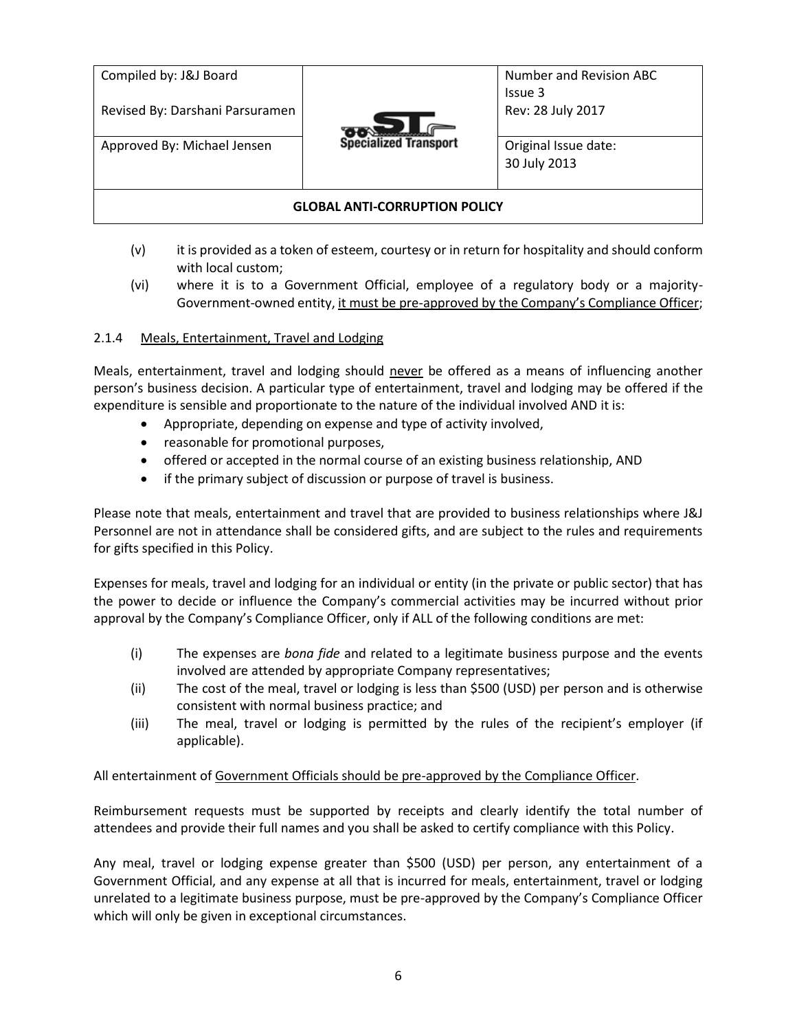| Compiled by: J&J Board               |                              | Number and Revision ABC<br>Issue 3   |
|--------------------------------------|------------------------------|--------------------------------------|
| Revised By: Darshani Parsuramen      |                              | Rev: 28 July 2017                    |
| Approved By: Michael Jensen          | <b>Specialized Transport</b> | Original Issue date:<br>30 July 2013 |
| <b>GLOBAL ANTI-CORRUPTION POLICY</b> |                              |                                      |

- (v) it is provided as a token of esteem, courtesy or in return for hospitality and should conform with local custom;
- (vi) where it is to a Government Official, employee of a regulatory body or a majority-Government-owned entity, it must be pre-approved by the Company's Compliance Officer;

### <span id="page-5-0"></span>2.1.4 Meals, Entertainment, Travel and Lodging

Meals, entertainment, travel and lodging should never be offered as a means of influencing another person's business decision. A particular type of entertainment, travel and lodging may be offered if the expenditure is sensible and proportionate to the nature of the individual involved AND it is:

- Appropriate, depending on expense and type of activity involved,
- reasonable for promotional purposes,
- offered or accepted in the normal course of an existing business relationship, AND
- if the primary subject of discussion or purpose of travel is business.

Please note that meals, entertainment and travel that are provided to business relationships where J&J Personnel are not in attendance shall be considered gifts, and are subject to the rules and requirements for gifts specified in this Policy.

Expenses for meals, travel and lodging for an individual or entity (in the private or public sector) that has the power to decide or influence the Company's commercial activities may be incurred without prior approval by the Company's Compliance Officer, only if ALL of the following conditions are met:

- (i) The expenses are *bona fide* and related to a legitimate business purpose and the events involved are attended by appropriate Company representatives;
- (ii) The cost of the meal, travel or lodging is less than \$500 (USD) per person and is otherwise consistent with normal business practice; and
- (iii) The meal, travel or lodging is permitted by the rules of the recipient's employer (if applicable).

All entertainment of Government Officials should be pre-approved by the Compliance Officer.

Reimbursement requests must be supported by receipts and clearly identify the total number of attendees and provide their full names and you shall be asked to certify compliance with this Policy.

Any meal, travel or lodging expense greater than \$500 (USD) per person, any entertainment of a Government Official, and any expense at all that is incurred for meals, entertainment, travel or lodging unrelated to a legitimate business purpose, must be pre-approved by the Company's Compliance Officer which will only be given in exceptional circumstances.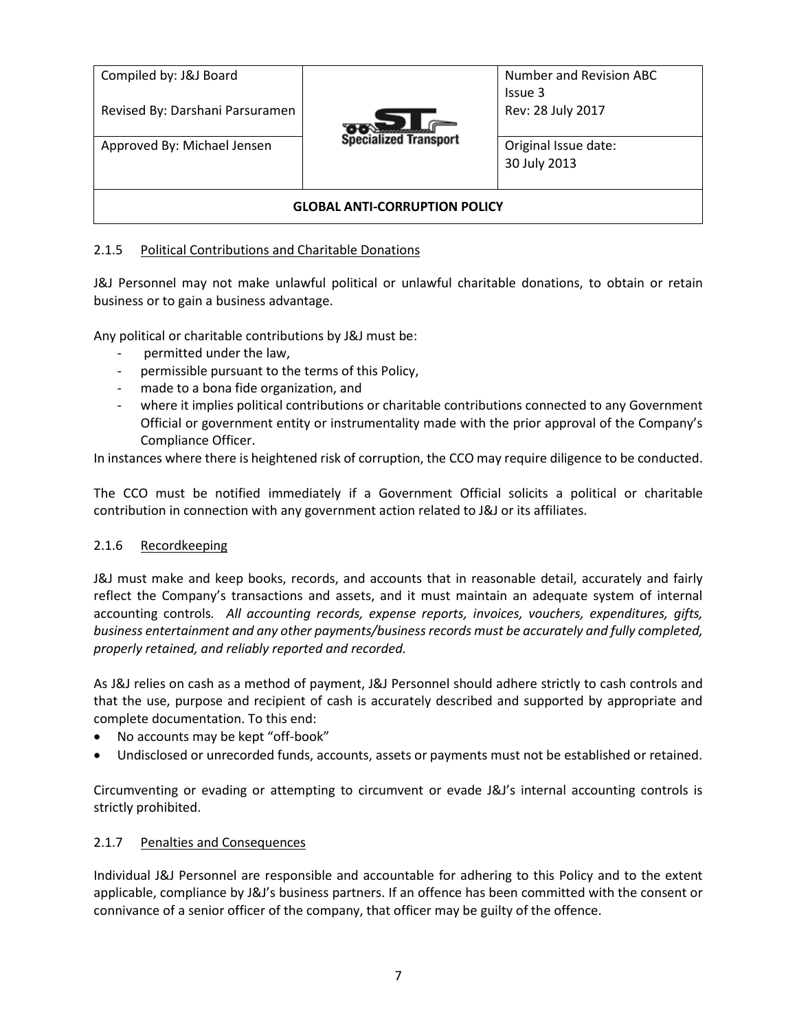| Compiled by: J&J Board<br>Revised By: Darshani Parsuramen | <b>Specialized Transport</b> | Number and Revision ABC<br>Issue 3<br>Rev: 28 July 2017 |  |
|-----------------------------------------------------------|------------------------------|---------------------------------------------------------|--|
| Approved By: Michael Jensen                               |                              | Original Issue date:<br>30 July 2013                    |  |
| <b>GLOBAL ANTI-CORRUPTION POLICY</b>                      |                              |                                                         |  |

### <span id="page-6-0"></span>2.1.5 Political Contributions and Charitable Donations

J&J Personnel may not make unlawful political or unlawful charitable donations, to obtain or retain business or to gain a business advantage.

Any political or charitable contributions by J&J must be:

- permitted under the law,
- permissible pursuant to the terms of this Policy,
- made to a bona fide organization, and
- where it implies political contributions or charitable contributions connected to any Government Official or government entity or instrumentality made with the prior approval of the Company's Compliance Officer.

In instances where there is heightened risk of corruption, the CCO may require diligence to be conducted.

The CCO must be notified immediately if a Government Official solicits a political or charitable contribution in connection with any government action related to J&J or its affiliates.

### <span id="page-6-1"></span>2.1.6 Recordkeeping

J&J must make and keep books, records, and accounts that in reasonable detail, accurately and fairly reflect the Company's transactions and assets, and it must maintain an adequate system of internal accounting controls*. All accounting records, expense reports, invoices, vouchers, expenditures, gifts, business entertainment and any other payments/business records must be accurately and fully completed, properly retained, and reliably reported and recorded.*

As J&J relies on cash as a method of payment, J&J Personnel should adhere strictly to cash controls and that the use, purpose and recipient of cash is accurately described and supported by appropriate and complete documentation. To this end:

- No accounts may be kept "off-book"
- Undisclosed or unrecorded funds, accounts, assets or payments must not be established or retained.

Circumventing or evading or attempting to circumvent or evade J&J's internal accounting controls is strictly prohibited.

#### <span id="page-6-2"></span>2.1.7 Penalties and Consequences

Individual J&J Personnel are responsible and accountable for adhering to this Policy and to the extent applicable, compliance by J&J's business partners. If an offence has been committed with the consent or connivance of a senior officer of the company, that officer may be guilty of the offence.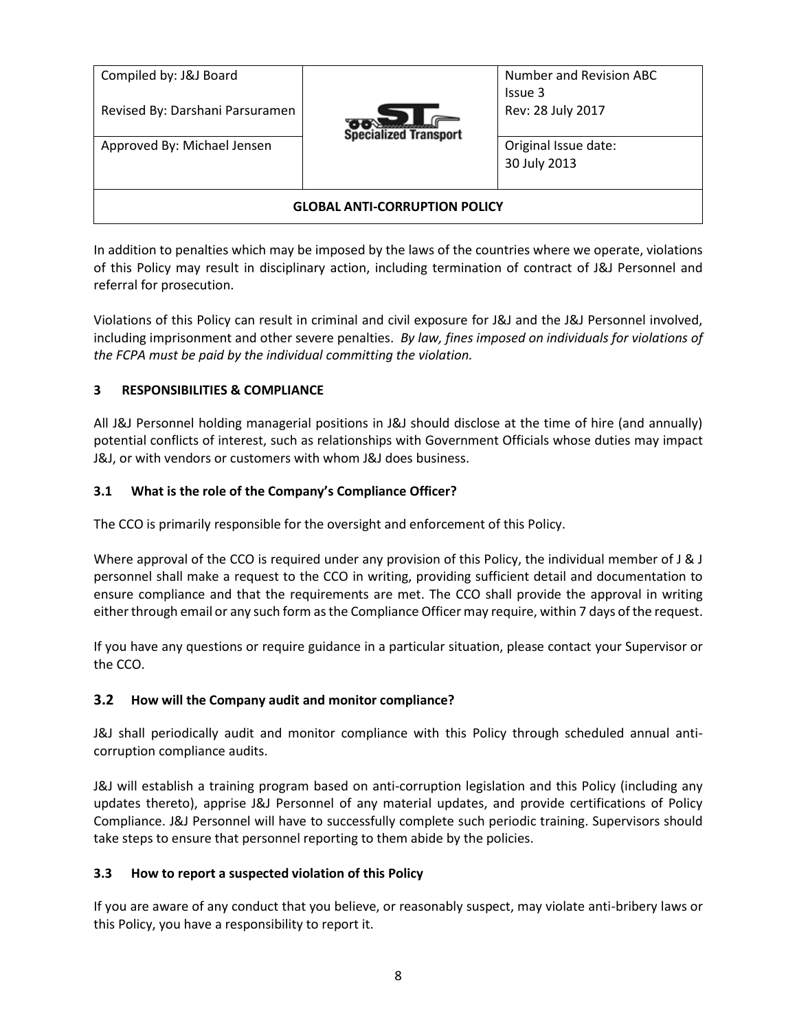| Compiled by: J&J Board<br>Revised By: Darshani Parsuramen | <b>Specialized Transport</b> | Number and Revision ABC<br>Issue 3<br>Rev: 28 July 2017 |  |
|-----------------------------------------------------------|------------------------------|---------------------------------------------------------|--|
| Approved By: Michael Jensen                               |                              | Original Issue date:<br>30 July 2013                    |  |
| <b>GLOBAL ANTI-CORRUPTION POLICY</b>                      |                              |                                                         |  |

In addition to penalties which may be imposed by the laws of the countries where we operate, violations of this Policy may result in disciplinary action, including termination of contract of J&J Personnel and referral for prosecution.

Violations of this Policy can result in criminal and civil exposure for J&J and the J&J Personnel involved, including imprisonment and other severe penalties. *By law, fines imposed on individuals for violations of the FCPA must be paid by the individual committing the violation.*

## <span id="page-7-0"></span>**3 RESPONSIBILITIES & COMPLIANCE**

All J&J Personnel holding managerial positions in J&J should disclose at the time of hire (and annually) potential conflicts of interest, such as relationships with Government Officials whose duties may impact J&J, or with vendors or customers with whom J&J does business.

### <span id="page-7-1"></span>**3.1 What is the role of the Company's Compliance Officer?**

The CCO is primarily responsible for the oversight and enforcement of this Policy.

Where approval of the CCO is required under any provision of this Policy, the individual member of J & J personnel shall make a request to the CCO in writing, providing sufficient detail and documentation to ensure compliance and that the requirements are met. The CCO shall provide the approval in writing either through email or any such form as the Compliance Officer may require, within 7 days of the request.

If you have any questions or require guidance in a particular situation, please contact your Supervisor or the CCO.

### <span id="page-7-2"></span>**3.2 How will the Company audit and monitor compliance?**

J&J shall periodically audit and monitor compliance with this Policy through scheduled annual anticorruption compliance audits.

J&J will establish a training program based on anti-corruption legislation and this Policy (including any updates thereto), apprise J&J Personnel of any material updates, and provide certifications of Policy Compliance. J&J Personnel will have to successfully complete such periodic training. Supervisors should take steps to ensure that personnel reporting to them abide by the policies.

### <span id="page-7-3"></span>**3.3 How to report a suspected violation of this Policy**

If you are aware of any conduct that you believe, or reasonably suspect, may violate anti-bribery laws or this Policy, you have a responsibility to report it.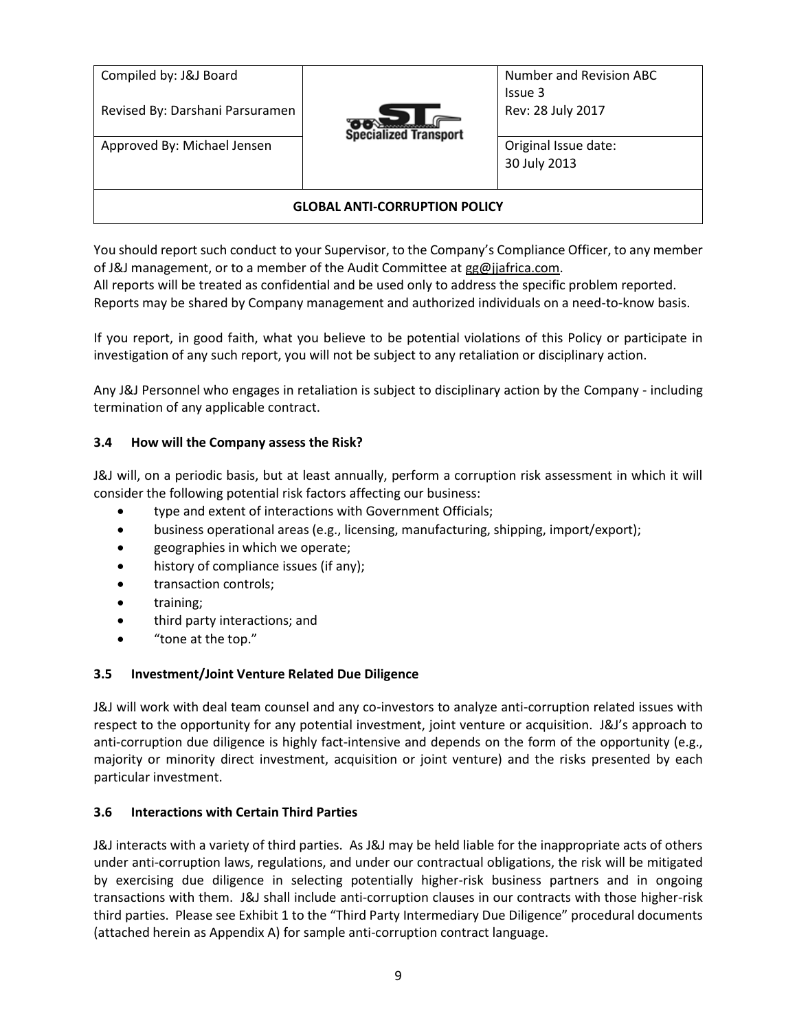| Compiled by: J&J Board<br>Revised By: Darshani Parsuramen | <b>Specialized Transport</b> | Number and Revision ABC<br>Issue 3<br>Rev: 28 July 2017 |  |
|-----------------------------------------------------------|------------------------------|---------------------------------------------------------|--|
| Approved By: Michael Jensen                               |                              | Original Issue date:<br>30 July 2013                    |  |
| <b>GLOBAL ANTI-CORRUPTION POLICY</b>                      |                              |                                                         |  |

You should report such conduct to your Supervisor, to the Company's Compliance Officer, to any member of J&J management, or to a member of the Audit Committee a[t gg@jjafrica.com.](mailto:gg@jjafrica.com)

All reports will be treated as confidential and be used only to address the specific problem reported. Reports may be shared by Company management and authorized individuals on a need-to-know basis.

If you report, in good faith, what you believe to be potential violations of this Policy or participate in investigation of any such report, you will not be subject to any retaliation or disciplinary action.

Any J&J Personnel who engages in retaliation is subject to disciplinary action by the Company - including termination of any applicable contract.

### <span id="page-8-0"></span>**3.4 How will the Company assess the Risk?**

J&J will, on a periodic basis, but at least annually, perform a corruption risk assessment in which it will consider the following potential risk factors affecting our business:

- type and extent of interactions with Government Officials;
- business operational areas (e.g., licensing, manufacturing, shipping, import/export);
- geographies in which we operate;
- history of compliance issues (if any);
- transaction controls;
- training;
- third party interactions; and
- " tone at the top."

#### <span id="page-8-1"></span>**3.5 Investment/Joint Venture Related Due Diligence**

J&J will work with deal team counsel and any co-investors to analyze anti-corruption related issues with respect to the opportunity for any potential investment, joint venture or acquisition. J&J's approach to anti-corruption due diligence is highly fact-intensive and depends on the form of the opportunity (e.g., majority or minority direct investment, acquisition or joint venture) and the risks presented by each particular investment.

#### <span id="page-8-2"></span>**3.6 Interactions with Certain Third Parties**

J&J interacts with a variety of third parties. As J&J may be held liable for the inappropriate acts of others under anti-corruption laws, regulations, and under our contractual obligations, the risk will be mitigated by exercising due diligence in selecting potentially higher-risk business partners and in ongoing transactions with them. J&J shall include anti-corruption clauses in our contracts with those higher-risk third parties. Please see Exhibit 1 to the "Third Party Intermediary Due Diligence" procedural documents (attached herein as Appendix A) for sample anti-corruption contract language.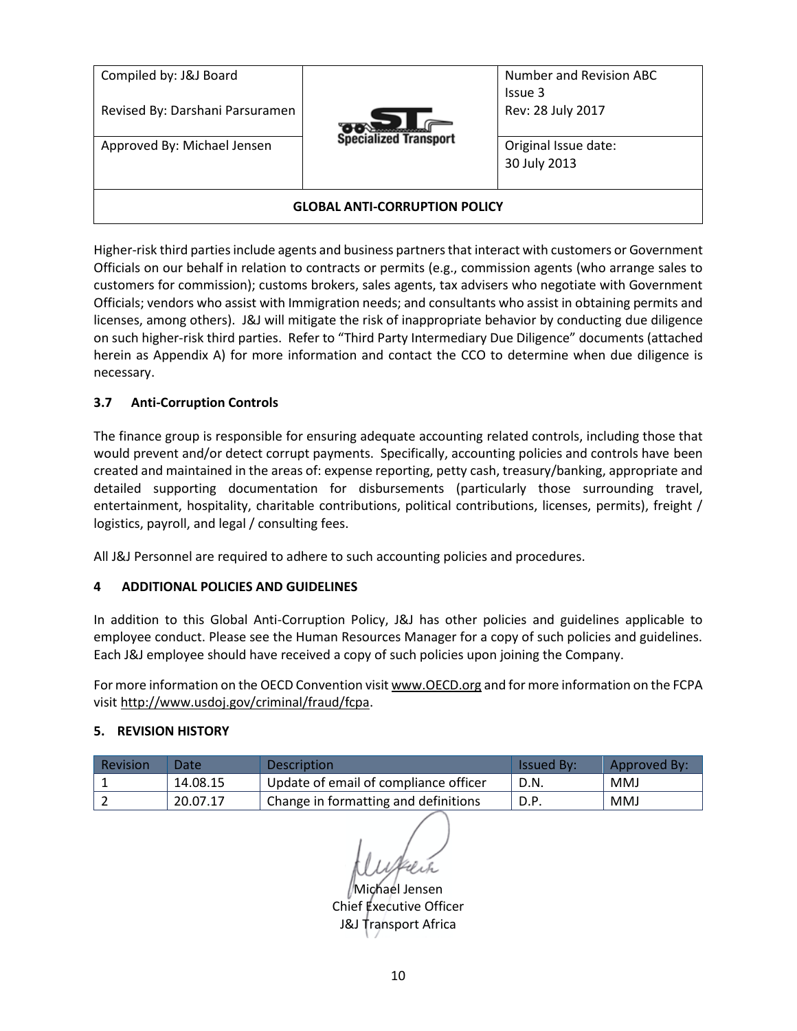| Compiled by: J&J Board<br>Revised By: Darshani Parsuramen |                              | Number and Revision ABC<br>Issue 3<br>Rev: 28 July 2017 |  |
|-----------------------------------------------------------|------------------------------|---------------------------------------------------------|--|
| Approved By: Michael Jensen                               | <b>Specialized Transport</b> | Original Issue date:<br>30 July 2013                    |  |
| <b>GLOBAL ANTI-CORRUPTION POLICY</b>                      |                              |                                                         |  |

Higher-risk third parties include agents and business partners that interact with customers or Government Officials on our behalf in relation to contracts or permits (e.g., commission agents (who arrange sales to customers for commission); customs brokers, sales agents, tax advisers who negotiate with Government Officials; vendors who assist with Immigration needs; and consultants who assist in obtaining permits and licenses, among others). J&J will mitigate the risk of inappropriate behavior by conducting due diligence on such higher-risk third parties. Refer to "Third Party Intermediary Due Diligence" documents (attached herein as Appendix A) for more information and contact the CCO to determine when due diligence is necessary.

## <span id="page-9-0"></span>**3.7 Anti-Corruption Controls**

The finance group is responsible for ensuring adequate accounting related controls, including those that would prevent and/or detect corrupt payments. Specifically, accounting policies and controls have been created and maintained in the areas of: expense reporting, petty cash, treasury/banking, appropriate and detailed supporting documentation for disbursements (particularly those surrounding travel, entertainment, hospitality, charitable contributions, political contributions, licenses, permits), freight / logistics, payroll, and legal / consulting fees.

All J&J Personnel are required to adhere to such accounting policies and procedures.

### **4 ADDITIONAL POLICIES AND GUIDELINES**

In addition to this Global Anti-Corruption Policy, J&J has other policies and guidelines applicable to employee conduct. Please see the Human Resources Manager for a copy of such policies and guidelines. Each J&J employee should have received a copy of such policies upon joining the Company.

For more information on the OECD Convention visi[t www.OECD.org](http://www.oecd.org/) and for more information on the FCPA visi[t http://www.usdoj.gov/criminal/fraud/fcpa.](http://www.usdoj.gov/criminal/fraud/fcpa)

### <span id="page-9-2"></span>**5. REVISION HISTORY**

| Revision | Date     | <b>Description</b>                    | <b>Issued By:</b> | Approved By: |
|----------|----------|---------------------------------------|-------------------|--------------|
|          | 14.08.15 | Update of email of compliance officer | D.N.              | <b>MMJ</b>   |
|          | 20.07.17 | Change in formatting and definitions  | D.P.              | <b>MMJ</b>   |

<span id="page-9-1"></span>

i**ch**ael Jensen Chief Executive Officer J&J Transport Africa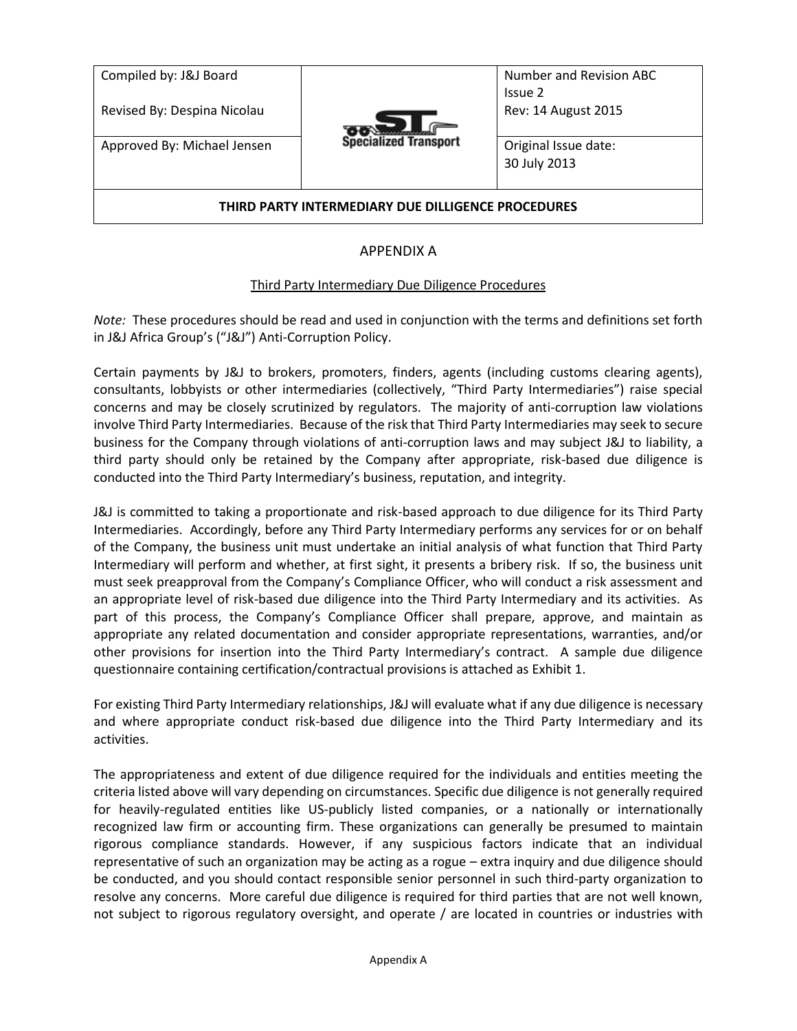| Compiled by: J&J Board<br>Revised By: Despina Nicolau |                              | Number and Revision ABC<br>Issue 2<br>Rev: 14 August 2015 |
|-------------------------------------------------------|------------------------------|-----------------------------------------------------------|
| Approved By: Michael Jensen                           | <b>Specialized Transport</b> | Original Issue date:<br>30 July 2013                      |
| THIRD PARTY INTERMEDIARY DUE DILLIGENCE PROCEDURES    |                              |                                                           |

# APPENDIX A

### Third Party Intermediary Due Diligence Procedures

<span id="page-10-0"></span>*Note:* These procedures should be read and used in conjunction with the terms and definitions set forth in J&J Africa Group's ("J&J") Anti-Corruption Policy.

Certain payments by J&J to brokers, promoters, finders, agents (including customs clearing agents), consultants, lobbyists or other intermediaries (collectively, "Third Party Intermediaries") raise special concerns and may be closely scrutinized by regulators. The majority of anti-corruption law violations involve Third Party Intermediaries. Because of the risk that Third Party Intermediaries may seek to secure business for the Company through violations of anti-corruption laws and may subject J&J to liability, a third party should only be retained by the Company after appropriate, risk-based due diligence is conducted into the Third Party Intermediary's business, reputation, and integrity.

J&J is committed to taking a proportionate and risk-based approach to due diligence for its Third Party Intermediaries. Accordingly, before any Third Party Intermediary performs any services for or on behalf of the Company, the business unit must undertake an initial analysis of what function that Third Party Intermediary will perform and whether, at first sight, it presents a bribery risk. If so, the business unit must seek preapproval from the Company's Compliance Officer, who will conduct a risk assessment and an appropriate level of risk-based due diligence into the Third Party Intermediary and its activities. As part of this process, the Company's Compliance Officer shall prepare, approve, and maintain as appropriate any related documentation and consider appropriate representations, warranties, and/or other provisions for insertion into the Third Party Intermediary's contract. A sample due diligence questionnaire containing certification/contractual provisions is attached as Exhibit 1.

For existing Third Party Intermediary relationships, J&J will evaluate what if any due diligence is necessary and where appropriate conduct risk-based due diligence into the Third Party Intermediary and its activities.

The appropriateness and extent of due diligence required for the individuals and entities meeting the criteria listed above will vary depending on circumstances. Specific due diligence is not generally required for heavily-regulated entities like US-publicly listed companies, or a nationally or internationally recognized law firm or accounting firm. These organizations can generally be presumed to maintain rigorous compliance standards. However, if any suspicious factors indicate that an individual representative of such an organization may be acting as a rogue – extra inquiry and due diligence should be conducted, and you should contact responsible senior personnel in such third-party organization to resolve any concerns. More careful due diligence is required for third parties that are not well known, not subject to rigorous regulatory oversight, and operate / are located in countries or industries with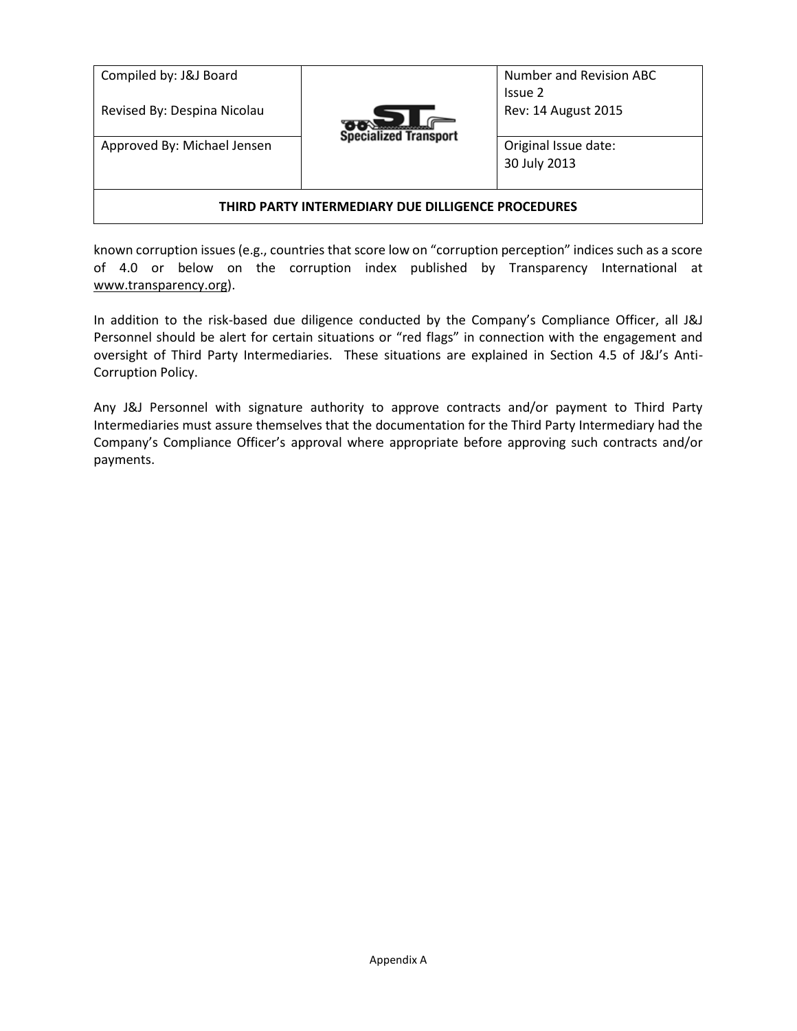| Compiled by: J&J Board<br>Revised By: Despina Nicolau |                              | Number and Revision ABC<br>Issue 2<br>Rev: 14 August 2015 |
|-------------------------------------------------------|------------------------------|-----------------------------------------------------------|
| Approved By: Michael Jensen                           | <b>Specialized Transport</b> | Original Issue date:<br>30 July 2013                      |
| THIRD PARTY INTERMEDIARY DUE DILLIGENCE PROCEDURES    |                              |                                                           |

known corruption issues (e.g., countries that score low on "corruption perception" indices such as a score of 4.0 or below on the corruption index published by Transparency International at [www.transparency.org\)](http://www.transparency.org/).

In addition to the risk-based due diligence conducted by the Company's Compliance Officer, all J&J Personnel should be alert for certain situations or "red flags" in connection with the engagement and oversight of Third Party Intermediaries. These situations are explained in Section 4.5 of J&J's Anti-Corruption Policy.

Any J&J Personnel with signature authority to approve contracts and/or payment to Third Party Intermediaries must assure themselves that the documentation for the Third Party Intermediary had the Company's Compliance Officer's approval where appropriate before approving such contracts and/or payments.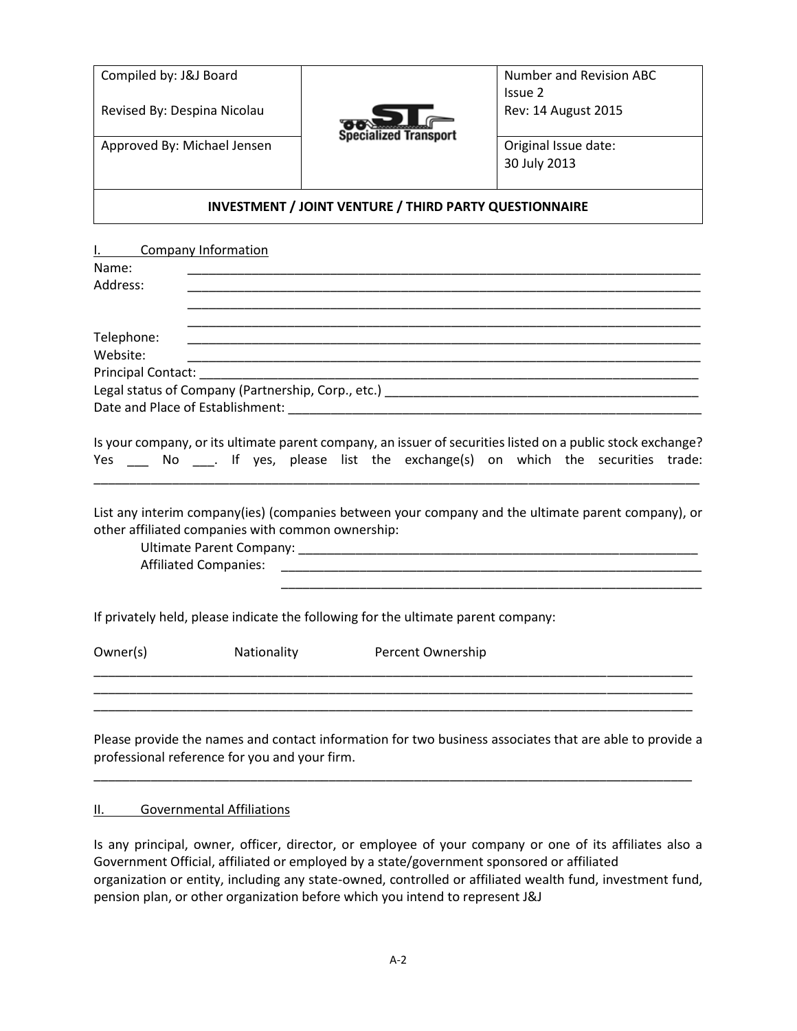| Compiled by: J&J Board      |                              | Number and Revision ABC              |
|-----------------------------|------------------------------|--------------------------------------|
| Revised By: Despina Nicolau |                              | Issue 2<br>Rev: 14 August 2015       |
| Approved By: Michael Jensen | <b>Specialized Transport</b> | Original Issue date:<br>30 July 2013 |

#### **INVESTMENT / JOINT VENTURE / THIRD PARTY QUESTIONNAIRE**

| L. Contract | <b>Company Information</b>                        |                                                                                   |                                                                                                                                                                                                                                                                                                           |
|-------------|---------------------------------------------------|-----------------------------------------------------------------------------------|-----------------------------------------------------------------------------------------------------------------------------------------------------------------------------------------------------------------------------------------------------------------------------------------------------------|
| Name:       |                                                   |                                                                                   |                                                                                                                                                                                                                                                                                                           |
| Address:    |                                                   |                                                                                   | <u> 1989 - Johann Stoff, amerikansk politiker (d. 1989)</u>                                                                                                                                                                                                                                               |
|             |                                                   |                                                                                   |                                                                                                                                                                                                                                                                                                           |
|             |                                                   |                                                                                   |                                                                                                                                                                                                                                                                                                           |
| Telephone:  |                                                   |                                                                                   |                                                                                                                                                                                                                                                                                                           |
| Website:    |                                                   |                                                                                   |                                                                                                                                                                                                                                                                                                           |
|             |                                                   |                                                                                   |                                                                                                                                                                                                                                                                                                           |
|             |                                                   |                                                                                   |                                                                                                                                                                                                                                                                                                           |
|             |                                                   |                                                                                   |                                                                                                                                                                                                                                                                                                           |
|             | other affiliated companies with common ownership: |                                                                                   | Is your company, or its ultimate parent company, an issuer of securities listed on a public stock exchange?<br>Yes ____ No ____. If yes, please list the exchange(s) on which the securities trade:<br>List any interim company(ies) (companies between your company and the ultimate parent company), or |
|             |                                                   | If privately held, please indicate the following for the ultimate parent company: |                                                                                                                                                                                                                                                                                                           |
| Owner(s)    | Nationality                                       | Percent Ownership                                                                 |                                                                                                                                                                                                                                                                                                           |
|             |                                                   |                                                                                   | Please provide the names and contact information for two business associates that are able to provide a                                                                                                                                                                                                   |

Please provide the names and contact information for two business associates that are able to provide a professional reference for you and your firm. \_\_\_\_\_\_\_\_\_\_\_\_\_\_\_\_\_\_\_\_\_\_\_\_\_\_\_\_\_\_\_\_\_\_\_\_\_\_\_\_\_\_\_\_\_\_\_\_\_\_\_\_\_\_\_\_\_\_\_\_\_\_\_\_\_\_\_\_\_\_\_\_\_\_\_\_\_\_\_\_\_\_\_\_

#### II. Governmental Affiliations

Is any principal, owner, officer, director, or employee of your company or one of its affiliates also a Government Official, affiliated or employed by a state/government sponsored or affiliated organization or entity, including any state-owned, controlled or affiliated wealth fund, investment fund, pension plan, or other organization before which you intend to represent J&J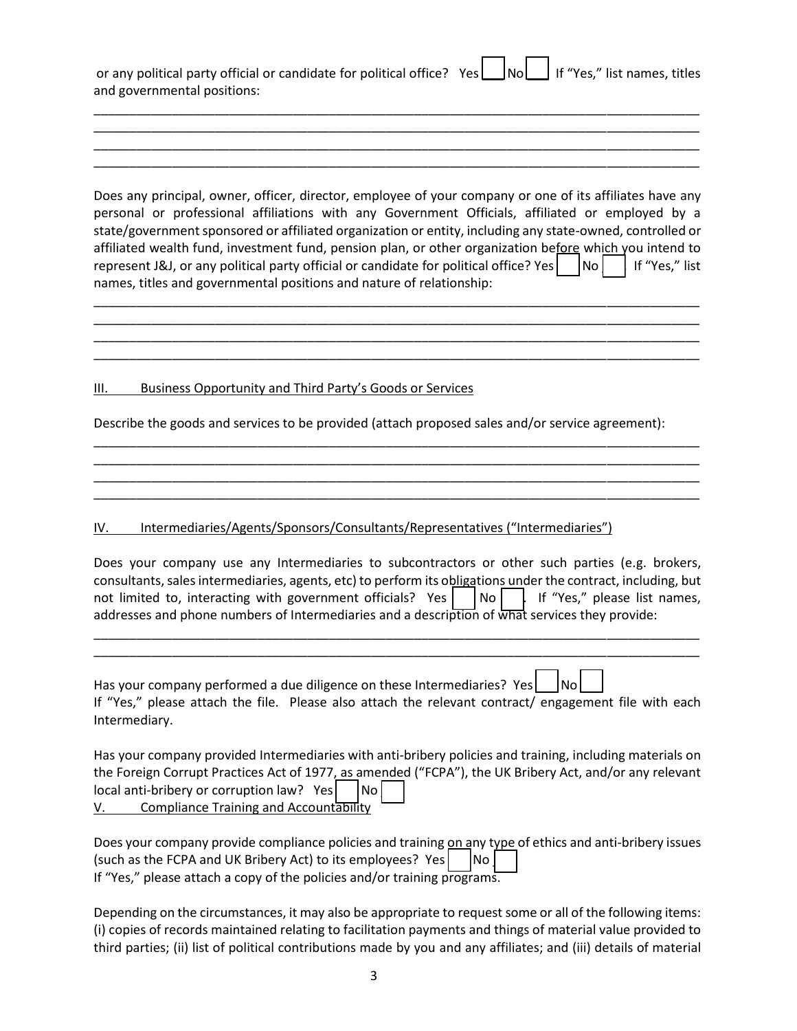| or any political party official or candidate for political office? Yes   No   If "Yes," list names, titles |  |  |  |
|------------------------------------------------------------------------------------------------------------|--|--|--|
| and governmental positions:                                                                                |  |  |  |

\_\_\_\_\_\_\_\_\_\_\_\_\_\_\_\_\_\_\_\_\_\_\_\_\_\_\_\_\_\_\_\_\_\_\_\_\_\_\_\_\_\_\_\_\_\_\_\_\_\_\_\_\_\_\_\_\_\_\_\_\_\_\_\_\_\_\_\_\_\_\_\_\_\_\_\_\_\_\_\_\_\_\_\_\_ \_\_\_\_\_\_\_\_\_\_\_\_\_\_\_\_\_\_\_\_\_\_\_\_\_\_\_\_\_\_\_\_\_\_\_\_\_\_\_\_\_\_\_\_\_\_\_\_\_\_\_\_\_\_\_\_\_\_\_\_\_\_\_\_\_\_\_\_\_\_\_\_\_\_\_\_\_\_\_\_\_\_\_\_\_ \_\_\_\_\_\_\_\_\_\_\_\_\_\_\_\_\_\_\_\_\_\_\_\_\_\_\_\_\_\_\_\_\_\_\_\_\_\_\_\_\_\_\_\_\_\_\_\_\_\_\_\_\_\_\_\_\_\_\_\_\_\_\_\_\_\_\_\_\_\_\_\_\_\_\_\_\_\_\_\_\_\_\_\_\_ \_\_\_\_\_\_\_\_\_\_\_\_\_\_\_\_\_\_\_\_\_\_\_\_\_\_\_\_\_\_\_\_\_\_\_\_\_\_\_\_\_\_\_\_\_\_\_\_\_\_\_\_\_\_\_\_\_\_\_\_\_\_\_\_\_\_\_\_\_\_\_\_\_\_\_\_\_\_\_\_\_\_\_\_\_

Does any principal, owner, officer, director, employee of your company or one of its affiliates have any personal or professional affiliations with any Government Officials, affiliated or employed by a state/government sponsored or affiliated organization or entity, including any state-owned, controlled or affiliated wealth fund, investment fund, pension plan, or other organization before which you intend to represent J&J, or any political party official or candidate for political office? Yes  $\vert$  No  $\vert$  If "Yes," list names, titles and governmental positions and nature of relationship:

\_\_\_\_\_\_\_\_\_\_\_\_\_\_\_\_\_\_\_\_\_\_\_\_\_\_\_\_\_\_\_\_\_\_\_\_\_\_\_\_\_\_\_\_\_\_\_\_\_\_\_\_\_\_\_\_\_\_\_\_\_\_\_\_\_\_\_\_\_\_\_\_\_\_\_\_\_\_\_\_\_\_\_\_\_ \_\_\_\_\_\_\_\_\_\_\_\_\_\_\_\_\_\_\_\_\_\_\_\_\_\_\_\_\_\_\_\_\_\_\_\_\_\_\_\_\_\_\_\_\_\_\_\_\_\_\_\_\_\_\_\_\_\_\_\_\_\_\_\_\_\_\_\_\_\_\_\_\_\_\_\_\_\_\_\_\_\_\_\_\_ \_\_\_\_\_\_\_\_\_\_\_\_\_\_\_\_\_\_\_\_\_\_\_\_\_\_\_\_\_\_\_\_\_\_\_\_\_\_\_\_\_\_\_\_\_\_\_\_\_\_\_\_\_\_\_\_\_\_\_\_\_\_\_\_\_\_\_\_\_\_\_\_\_\_\_\_\_\_\_\_\_\_\_\_\_ \_\_\_\_\_\_\_\_\_\_\_\_\_\_\_\_\_\_\_\_\_\_\_\_\_\_\_\_\_\_\_\_\_\_\_\_\_\_\_\_\_\_\_\_\_\_\_\_\_\_\_\_\_\_\_\_\_\_\_\_\_\_\_\_\_\_\_\_\_\_\_\_\_\_\_\_\_\_\_\_\_\_\_\_\_

#### III. Business Opportunity and Third Party's Goods or Services

Describe the goods and services to be provided (attach proposed sales and/or service agreement):

\_\_\_\_\_\_\_\_\_\_\_\_\_\_\_\_\_\_\_\_\_\_\_\_\_\_\_\_\_\_\_\_\_\_\_\_\_\_\_\_\_\_\_\_\_\_\_\_\_\_\_\_\_\_\_\_\_\_\_\_\_\_\_\_\_\_\_\_\_\_\_\_\_\_\_\_\_\_\_\_\_\_\_\_\_ \_\_\_\_\_\_\_\_\_\_\_\_\_\_\_\_\_\_\_\_\_\_\_\_\_\_\_\_\_\_\_\_\_\_\_\_\_\_\_\_\_\_\_\_\_\_\_\_\_\_\_\_\_\_\_\_\_\_\_\_\_\_\_\_\_\_\_\_\_\_\_\_\_\_\_\_\_\_\_\_\_\_\_\_\_ \_\_\_\_\_\_\_\_\_\_\_\_\_\_\_\_\_\_\_\_\_\_\_\_\_\_\_\_\_\_\_\_\_\_\_\_\_\_\_\_\_\_\_\_\_\_\_\_\_\_\_\_\_\_\_\_\_\_\_\_\_\_\_\_\_\_\_\_\_\_\_\_\_\_\_\_\_\_\_\_\_\_\_\_\_ \_\_\_\_\_\_\_\_\_\_\_\_\_\_\_\_\_\_\_\_\_\_\_\_\_\_\_\_\_\_\_\_\_\_\_\_\_\_\_\_\_\_\_\_\_\_\_\_\_\_\_\_\_\_\_\_\_\_\_\_\_\_\_\_\_\_\_\_\_\_\_\_\_\_\_\_\_\_\_\_\_\_\_\_\_

#### IV. Intermediaries/Agents/Sponsors/Consultants/Representatives ("Intermediaries")

Does your company use any Intermediaries to subcontractors or other such parties (e.g. brokers, consultants, sales intermediaries, agents, etc) to perform its obligations under the contract, including, but not limited to, interacting with government officials? Yes  $|$  |No  $|$  | If "Yes," please list names, addresses and phone numbers of Intermediaries and a description of what services they provide:

\_\_\_\_\_\_\_\_\_\_\_\_\_\_\_\_\_\_\_\_\_\_\_\_\_\_\_\_\_\_\_\_\_\_\_\_\_\_\_\_\_\_\_\_\_\_\_\_\_\_\_\_\_\_\_\_\_\_\_\_\_\_\_\_\_\_\_\_\_\_\_\_\_\_\_\_\_\_\_\_\_\_\_\_\_ \_\_\_\_\_\_\_\_\_\_\_\_\_\_\_\_\_\_\_\_\_\_\_\_\_\_\_\_\_\_\_\_\_\_\_\_\_\_\_\_\_\_\_\_\_\_\_\_\_\_\_\_\_\_\_\_\_\_\_\_\_\_\_\_\_\_\_\_\_\_\_\_\_\_\_\_\_\_\_\_\_\_\_\_\_

|               | Has your company performed a due diligence on these Intermediaries? Yes $\vert$ $\vert$ No $\vert$ |                                                                                                       |
|---------------|----------------------------------------------------------------------------------------------------|-------------------------------------------------------------------------------------------------------|
|               |                                                                                                    | If "Yes," please attach the file. Please also attach the relevant contract/ engagement file with each |
| Intermediary. |                                                                                                    |                                                                                                       |

 $\Box$ 

Has your company provided Intermediaries with anti-bribery policies and training, including materials on the Foreign Corrupt Practices Act of 1977, as amended ("FCPA"), the UK Bribery Act, and/or any relevant  $local anti-bribery$  or corruption law? Yes  $\vert$  No  $\vert$ V. Compliance Training and Accountability

Does your company provide compliance policies and training on any type of ethics and anti-bribery issues (such as the FCPA and UK Bribery Act) to its employees? Yes  $\vert$   $\vert$ No  $\vert$ If "Yes," please attach a copy of the policies and/or training programs.

Depending on the circumstances, it may also be appropriate to request some or all of the following items: (i) copies of records maintained relating to facilitation payments and things of material value provided to third parties; (ii) list of political contributions made by you and any affiliates; and (iii) details of material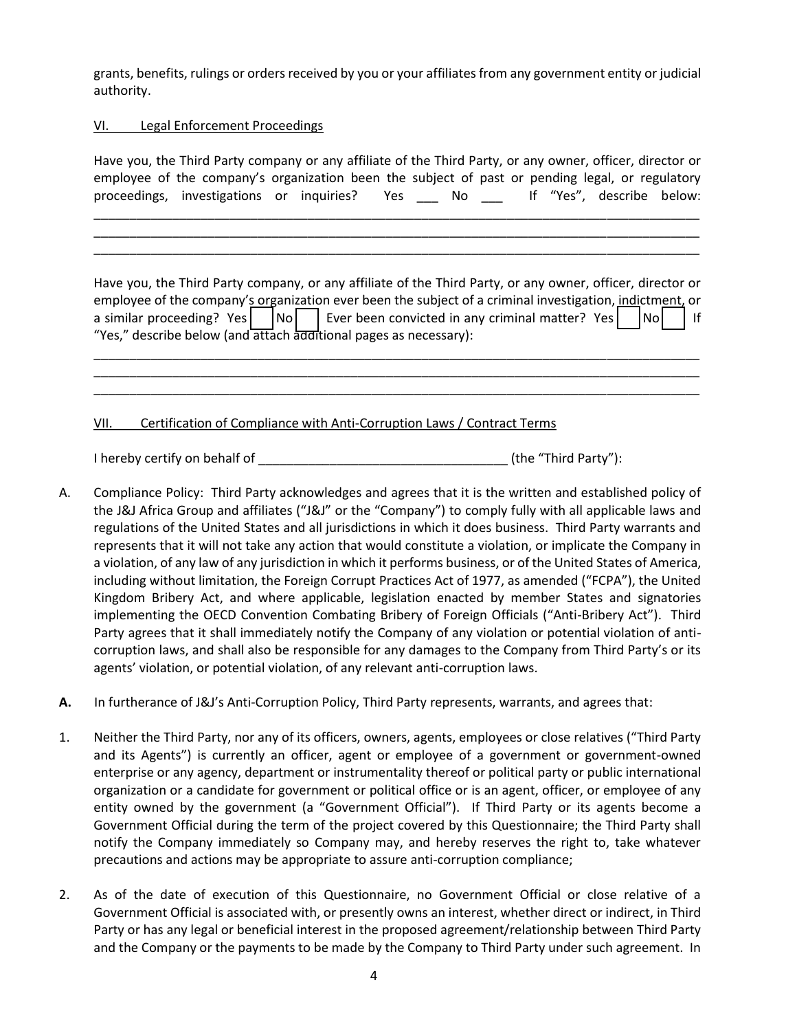grants, benefits, rulings or orders received by you or your affiliates from any government entity or judicial authority.

VI. Legal Enforcement Proceedings

| Have you, the Third Party company or any affiliate of the Third Party, or any owner, officer, director or<br>employee of the company's organization been the subject of past or pending legal, or regulatory<br>proceedings, investigations or inquiries? Yes _____ No ______ If "Yes", describe below:                                                                             |                                   |
|-------------------------------------------------------------------------------------------------------------------------------------------------------------------------------------------------------------------------------------------------------------------------------------------------------------------------------------------------------------------------------------|-----------------------------------|
| Have you, the Third Party company, or any affiliate of the Third Party, or any owner, officer, director or<br>employee of the company's organization ever been the subject of a criminal investigation, indictment, or<br>a similar proceeding? Yes $\vert$ No Ever been convicted in any criminal matter? Yes<br>"Yes," describe below (and attach additional pages as necessary): | $\overline{\phantom{a}}$ No<br> f |
| Certification of Compliance with Anti-Corruption Laws / Contract Terms<br>VII.                                                                                                                                                                                                                                                                                                      |                                   |
| I hereby certify on behalf of                                                                                                                                                                                                                                                                                                                                                       | (the "Third Party"):              |

- A. Compliance Policy: Third Party acknowledges and agrees that it is the written and established policy of the J&J Africa Group and affiliates ("J&J" or the "Company") to comply fully with all applicable laws and regulations of the United States and all jurisdictions in which it does business. Third Party warrants and represents that it will not take any action that would constitute a violation, or implicate the Company in a violation, of any law of any jurisdiction in which it performs business, or of the United States of America, including without limitation, the Foreign Corrupt Practices Act of 1977, as amended ("FCPA"), the United Kingdom Bribery Act, and where applicable, legislation enacted by member States and signatories implementing the OECD Convention Combating Bribery of Foreign Officials ("Anti-Bribery Act"). Third Party agrees that it shall immediately notify the Company of any violation or potential violation of anticorruption laws, and shall also be responsible for any damages to the Company from Third Party's or its agents' violation, or potential violation, of any relevant anti-corruption laws.
- **A.** In furtherance of J&J's Anti-Corruption Policy, Third Party represents, warrants, and agrees that:
- 1. Neither the Third Party, nor any of its officers, owners, agents, employees or close relatives ("Third Party and its Agents") is currently an officer, agent or employee of a government or government-owned enterprise or any agency, department or instrumentality thereof or political party or public international organization or a candidate for government or political office or is an agent, officer, or employee of any entity owned by the government (a "Government Official"). If Third Party or its agents become a Government Official during the term of the project covered by this Questionnaire; the Third Party shall notify the Company immediately so Company may, and hereby reserves the right to, take whatever precautions and actions may be appropriate to assure anti-corruption compliance;
- 2. As of the date of execution of this Questionnaire, no Government Official or close relative of a Government Official is associated with, or presently owns an interest, whether direct or indirect, in Third Party or has any legal or beneficial interest in the proposed agreement/relationship between Third Party and the Company or the payments to be made by the Company to Third Party under such agreement. In